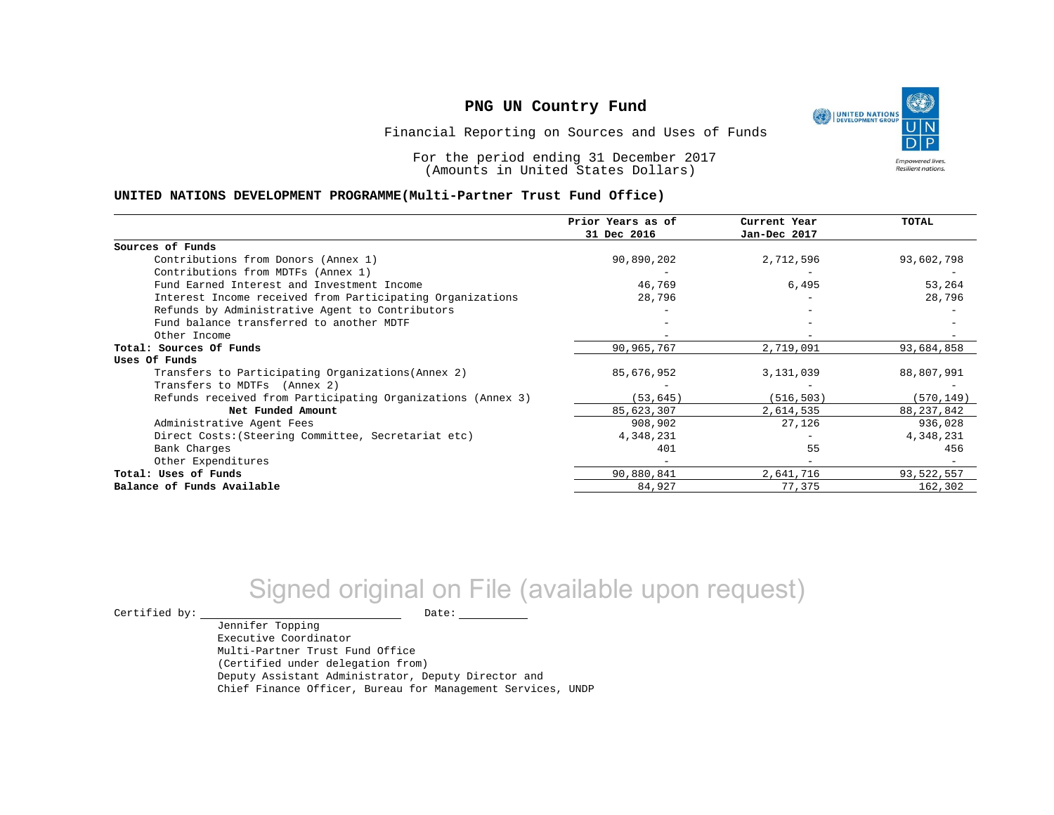

Financial Reporting on Sources and Uses of Funds

For the period ending 31 December 2017 (Amounts in United States Dollars)

#### **UNITED NATIONS DEVELOPMENT PROGRAMME(Multi-Partner Trust Fund Office)**

|                                                             | Prior Years as of | Current Year | <b>TOTAL</b> |
|-------------------------------------------------------------|-------------------|--------------|--------------|
|                                                             | 31 Dec 2016       | Jan-Dec 2017 |              |
| Sources of Funds                                            |                   |              |              |
| Contributions from Donors (Annex 1)                         | 90,890,202        | 2,712,596    | 93,602,798   |
| Contributions from MDTFs (Annex 1)                          |                   |              |              |
| Fund Earned Interest and Investment Income                  | 46,769            | 6,495        | 53,264       |
| Interest Income received from Participating Organizations   | 28,796            |              | 28,796       |
| Refunds by Administrative Agent to Contributors             |                   |              |              |
| Fund balance transferred to another MDTF                    |                   |              |              |
| Other Income                                                |                   |              |              |
| Total: Sources Of Funds                                     | 90,965,767        | 2,719,091    | 93,684,858   |
| Uses Of Funds                                               |                   |              |              |
| Transfers to Participating Organizations (Annex 2)          | 85,676,952        | 3,131,039    | 88,807,991   |
| Transfers to MDTFs (Annex 2)                                |                   |              |              |
| Refunds received from Participating Organizations (Annex 3) | (53, 645)         | (516, 503)   | (570, 149)   |
| Net Funded Amount                                           | 85,623,307        | 2,614,535    | 88, 237, 842 |
| Administrative Agent Fees                                   | 908,902           | 27,126       | 936,028      |
| Direct Costs: (Steering Committee, Secretariat etc)         | 4,348,231         |              | 4,348,231    |
| Bank Charges                                                | 401               | 55           | 456          |
| Other Expenditures                                          |                   |              |              |
| Total: Uses of Funds                                        | 90,880,841        | 2,641,716    | 93,522,557   |
| Balance of Funds Available                                  | 84,927            | 77,375       | 162,302      |

# Signed original on File (available upon request)

Jennifer Topping

 $\begin{tabular}{ccccc} \multicolumn{2}{c|}{\textbf{Certified by:}} & \multicolumn{2}{c|}{\textbf{Date:}} \end{tabular}$ 

Executive Coordinator Multi-Partner Trust Fund Office (Certified under delegation from) Deputy Assistant Administrator, Deputy Director and Chief Finance Officer, Bureau for Management Services, UNDP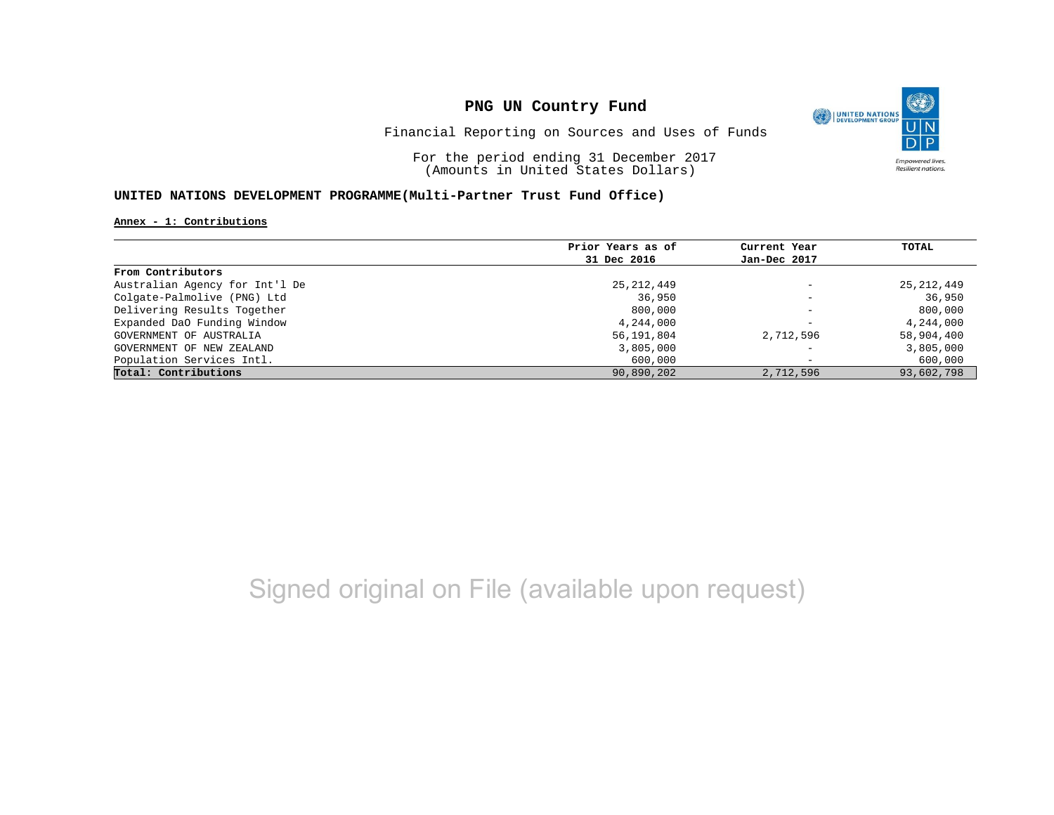

Financial Reporting on Sources and Uses of Funds

For the period ending 31 December 2017 (Amounts in United States Dollars)

### **UNITED NATIONS DEVELOPMENT PROGRAMME(Multi-Partner Trust Fund Office)**

#### **Annex - 1: Contributions**

|                                | Prior Years as of | Current Year             | TOTAL        |
|--------------------------------|-------------------|--------------------------|--------------|
|                                |                   |                          |              |
|                                | 31 Dec 2016       | Jan-Dec 2017             |              |
| From Contributors              |                   |                          |              |
| Australian Agency for Int'l De | 25,212,449        | $\overline{\phantom{0}}$ | 25, 212, 449 |
| Colgate-Palmolive (PNG) Ltd    | 36,950            | $\overline{\phantom{m}}$ | 36,950       |
| Delivering Results Together    | 800,000           | $\overline{\phantom{0}}$ | 800,000      |
| Expanded DaO Funding Window    | 4,244,000         | -                        | 4,244,000    |
| GOVERNMENT OF AUSTRALIA        | 56,191,804        | 2,712,596                | 58,904,400   |
| GOVERNMENT OF NEW ZEALAND      | 3,805,000         | $\overline{\phantom{0}}$ | 3,805,000    |
| Population Services Intl.      | 600,000           | $\overline{\phantom{0}}$ | 600,000      |
| Total: Contributions           | 90,890,202        | 2,712,596                | 93,602,798   |

# Signed original on File (available upon request)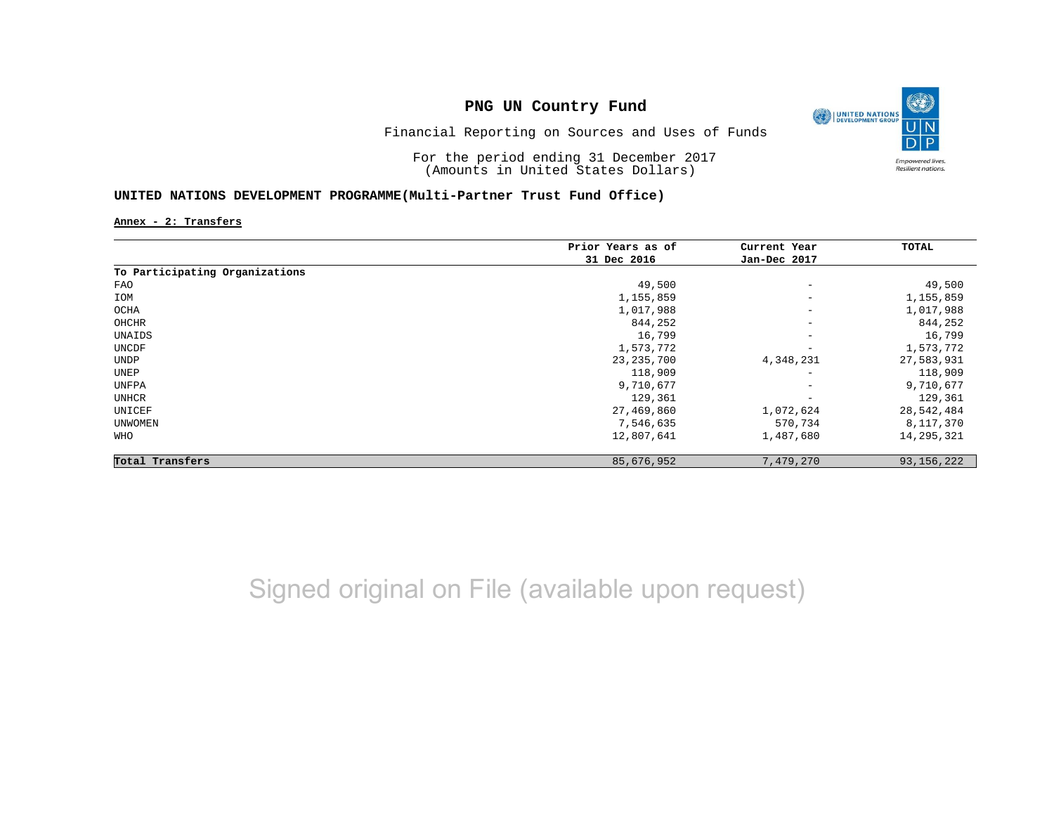

### Financial Reporting on Sources and Uses of Funds

For the period ending 31 December 2017 (Amounts in United States Dollars)

### **UNITED NATIONS DEVELOPMENT PROGRAMME(Multi-Partner Trust Fund Office)**

**Annex - 2: Transfers**

|                                | Prior Years as of | Current Year             | TOTAL        |
|--------------------------------|-------------------|--------------------------|--------------|
|                                | 31 Dec 2016       | Jan-Dec 2017             |              |
| To Participating Organizations |                   |                          |              |
| FAO                            | 49,500            | $\overline{\phantom{m}}$ | 49,500       |
| IOM                            | 1,155,859         | $\overline{\phantom{0}}$ | 1,155,859    |
| OCHA                           | 1,017,988         | $\qquad \qquad -$        | 1,017,988    |
| OHCHR                          | 844,252           | $\qquad \qquad -$        | 844,252      |
| UNAIDS                         | 16,799            | $\qquad \qquad -$        | 16,799       |
| UNCDF                          | 1,573,772         | $\overline{\phantom{m}}$ | 1,573,772    |
| <b>UNDP</b>                    | 23, 235, 700      | 4,348,231                | 27,583,931   |
| UNEP                           | 118,909           | $\qquad \qquad -$        | 118,909      |
| UNFPA                          | 9,710,677         | $\qquad \qquad -$        | 9,710,677    |
| UNHCR                          | 129,361           | $\overline{\phantom{m}}$ | 129,361      |
| UNICEF                         | 27,469,860        | 1,072,624                | 28,542,484   |
| UNWOMEN                        | 7,546,635         | 570,734                  | 8,117,370    |
| WHO                            | 12,807,641        | 1,487,680                | 14,295,321   |
| Total Transfers                | 85,676,952        | 7,479,270                | 93, 156, 222 |

# Signed original on File (available upon request)